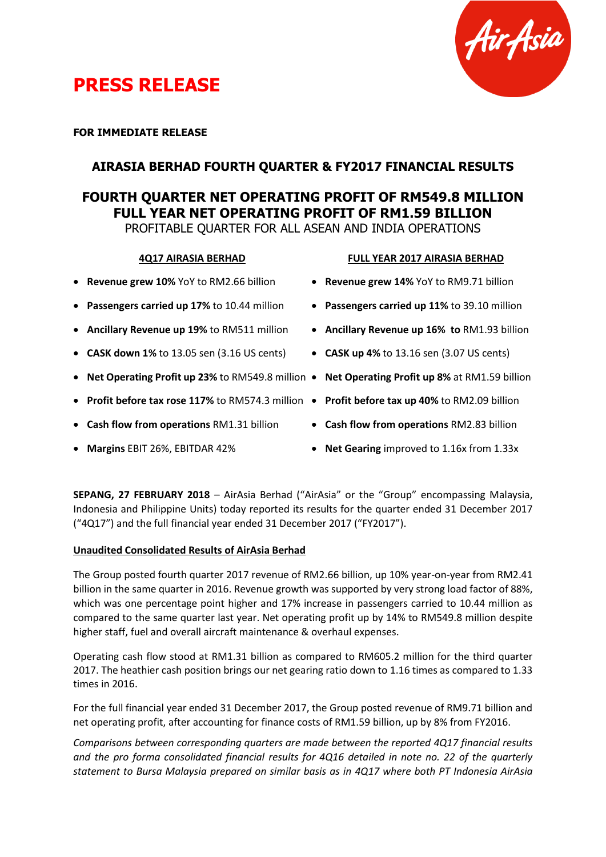



#### **FOR IMMEDIATE RELEASE**

### **AIRASIA BERHAD FOURTH QUARTER & FY2017 FINANCIAL RESULTS**

### **FOURTH QUARTER NET OPERATING PROFIT OF RM549.8 MILLION FULL YEAR NET OPERATING PROFIT OF RM1.59 BILLION**

PROFITABLE QUARTER FOR ALL ASEAN AND INDIA OPERATIONS

#### **4Q17 AIRASIA BERHAD FULL YEAR 2017 AIRASIA BERHAD**

- **Revenue grew 10%** YoY to RM2.66 billion
- **Passengers carried up 17%** to 10.44 million
- **Ancillary Revenue up 19%** to RM511 million
- **CASK down 1%** to 13.05 sen (3.16 US cents)
- **Net Operating Profit up 23%** to RM549.8 million **Net Operating Profit up 8%** at RM1.59 billion
- **Profit before tax rose 117%** to RM574.3 million **Profit before tax up 40%** to RM2.09 billion
- **Cash flow from operations** RM1.31 billion
- **Margins** EBIT 26%, EBITDAR 42%
- **Revenue grew 14%** YoY to RM9.71 billion
- **Passengers carried up 11%** to 39.10 million
- **Ancillary Revenue up 16% to** RM1.93 billion
- **CASK up 4%** to 13.16 sen (3.07 US cents)
- 
- 
- **Cash flow from operations** RM2.83 billion
- **Net Gearing** improved to 1.16x from 1.33x

**SEPANG, 27 FEBRUARY 2018** – AirAsia Berhad ("AirAsia" or the "Group" encompassing Malaysia, Indonesia and Philippine Units) today reported its results for the quarter ended 31 December 2017 ("4Q17") and the full financial year ended 31 December 2017 ("FY2017").

#### **Unaudited Consolidated Results of AirAsia Berhad**

The Group posted fourth quarter 2017 revenue of RM2.66 billion, up 10% year-on-year from RM2.41 billion in the same quarter in 2016. Revenue growth was supported by very strong load factor of 88%, which was one percentage point higher and 17% increase in passengers carried to 10.44 million as compared to the same quarter last year. Net operating profit up by 14% to RM549.8 million despite higher staff, fuel and overall aircraft maintenance & overhaul expenses.

Operating cash flow stood at RM1.31 billion as compared to RM605.2 million for the third quarter 2017. The heathier cash position brings our net gearing ratio down to 1.16 times as compared to 1.33 times in 2016.

For the full financial year ended 31 December 2017, the Group posted revenue of RM9.71 billion and net operating profit, after accounting for finance costs of RM1.59 billion, up by 8% from FY2016.

*Comparisons between corresponding quarters are made between the reported 4Q17 financial results and the pro forma consolidated financial results for 4Q16 detailed in note no. 22 of the quarterly statement to Bursa Malaysia prepared on similar basis as in 4Q17 where both PT Indonesia AirAsia*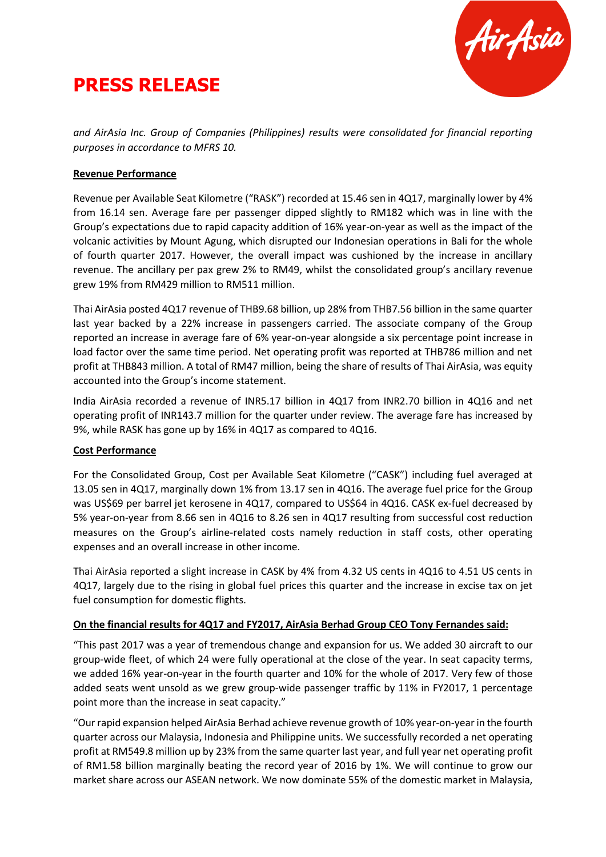# **PRESS RELEASE**



*and AirAsia Inc. Group of Companies (Philippines) results were consolidated for financial reporting purposes in accordance to MFRS 10.*

#### **Revenue Performance**

Revenue per Available Seat Kilometre ("RASK") recorded at 15.46 sen in 4Q17, marginally lower by 4% from 16.14 sen. Average fare per passenger dipped slightly to RM182 which was in line with the Group's expectations due to rapid capacity addition of 16% year-on-year as well as the impact of the volcanic activities by Mount Agung, which disrupted our Indonesian operations in Bali for the whole of fourth quarter 2017. However, the overall impact was cushioned by the increase in ancillary revenue. The ancillary per pax grew 2% to RM49, whilst the consolidated group's ancillary revenue grew 19% from RM429 million to RM511 million.

Thai AirAsia posted 4Q17 revenue of THB9.68 billion, up 28% from THB7.56 billion in the same quarter last year backed by a 22% increase in passengers carried. The associate company of the Group reported an increase in average fare of 6% year-on-year alongside a six percentage point increase in load factor over the same time period. Net operating profit was reported at THB786 million and net profit at THB843 million. A total of RM47 million, being the share of results of Thai AirAsia, was equity accounted into the Group's income statement.

India AirAsia recorded a revenue of INR5.17 billion in 4Q17 from INR2.70 billion in 4Q16 and net operating profit of INR143.7 million for the quarter under review. The average fare has increased by 9%, while RASK has gone up by 16% in 4Q17 as compared to 4Q16.

#### **Cost Performance**

For the Consolidated Group, Cost per Available Seat Kilometre ("CASK") including fuel averaged at 13.05 sen in 4Q17, marginally down 1% from 13.17 sen in 4Q16. The average fuel price for the Group was US\$69 per barrel jet kerosene in 4Q17, compared to US\$64 in 4Q16. CASK ex-fuel decreased by 5% year-on-year from 8.66 sen in 4Q16 to 8.26 sen in 4Q17 resulting from successful cost reduction measures on the Group's airline-related costs namely reduction in staff costs, other operating expenses and an overall increase in other income.

Thai AirAsia reported a slight increase in CASK by 4% from 4.32 US cents in 4Q16 to 4.51 US cents in 4Q17, largely due to the rising in global fuel prices this quarter and the increase in excise tax on jet fuel consumption for domestic flights.

#### **On the financial results for 4Q17 and FY2017, AirAsia Berhad Group CEO Tony Fernandes said:**

"This past 2017 was a year of tremendous change and expansion for us. We added 30 aircraft to our group-wide fleet, of which 24 were fully operational at the close of the year. In seat capacity terms, we added 16% year-on-year in the fourth quarter and 10% for the whole of 2017. Very few of those added seats went unsold as we grew group-wide passenger traffic by 11% in FY2017, 1 percentage point more than the increase in seat capacity."

"Our rapid expansion helped AirAsia Berhad achieve revenue growth of 10% year-on-year in the fourth quarter across our Malaysia, Indonesia and Philippine units. We successfully recorded a net operating profit at RM549.8 million up by 23% from the same quarter last year, and full year net operating profit of RM1.58 billion marginally beating the record year of 2016 by 1%. We will continue to grow our market share across our ASEAN network. We now dominate 55% of the domestic market in Malaysia,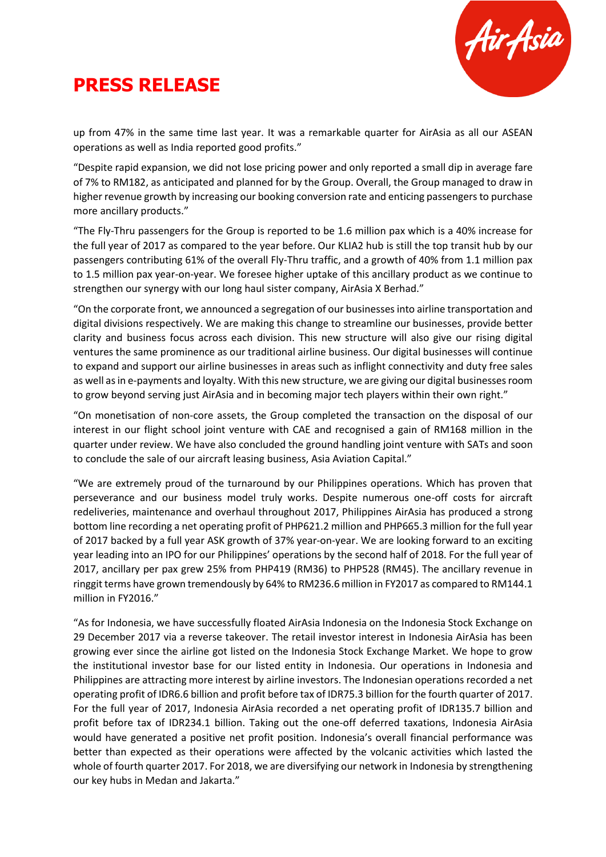# **PRESS RELEASE**



up from 47% in the same time last year. It was a remarkable quarter for AirAsia as all our ASEAN operations as well as India reported good profits."

"Despite rapid expansion, we did not lose pricing power and only reported a small dip in average fare of 7% to RM182, as anticipated and planned for by the Group. Overall, the Group managed to draw in higher revenue growth by increasing our booking conversion rate and enticing passengers to purchase more ancillary products."

"The Fly-Thru passengers for the Group is reported to be 1.6 million pax which is a 40% increase for the full year of 2017 as compared to the year before. Our KLIA2 hub is still the top transit hub by our passengers contributing 61% of the overall Fly-Thru traffic, and a growth of 40% from 1.1 million pax to 1.5 million pax year-on-year. We foresee higher uptake of this ancillary product as we continue to strengthen our synergy with our long haul sister company, AirAsia X Berhad."

"On the corporate front, we announced a segregation of our businessesinto airline transportation and digital divisions respectively. We are making this change to streamline our businesses, provide better clarity and business focus across each division. This new structure will also give our rising digital ventures the same prominence as our traditional airline business. Our digital businesses will continue to expand and support our airline businesses in areas such as inflight connectivity and duty free sales as well asin e-payments and loyalty. With this new structure, we are giving our digital businesses room to grow beyond serving just AirAsia and in becoming major tech players within their own right."

"On monetisation of non-core assets, the Group completed the transaction on the disposal of our interest in our flight school joint venture with CAE and recognised a gain of RM168 million in the quarter under review. We have also concluded the ground handling joint venture with SATs and soon to conclude the sale of our aircraft leasing business, Asia Aviation Capital."

"We are extremely proud of the turnaround by our Philippines operations. Which has proven that perseverance and our business model truly works. Despite numerous one-off costs for aircraft redeliveries, maintenance and overhaul throughout 2017, Philippines AirAsia has produced a strong bottom line recording a net operating profit of PHP621.2 million and PHP665.3 million for the full year of 2017 backed by a full year ASK growth of 37% year-on-year. We are looking forward to an exciting year leading into an IPO for our Philippines' operations by the second half of 2018. For the full year of 2017, ancillary per pax grew 25% from PHP419 (RM36) to PHP528 (RM45). The ancillary revenue in ringgit terms have grown tremendously by 64% to RM236.6 million in FY2017 as compared to RM144.1 million in FY2016."

"As for Indonesia, we have successfully floated AirAsia Indonesia on the Indonesia Stock Exchange on 29 December 2017 via a reverse takeover. The retail investor interest in Indonesia AirAsia has been growing ever since the airline got listed on the Indonesia Stock Exchange Market. We hope to grow the institutional investor base for our listed entity in Indonesia. Our operations in Indonesia and Philippines are attracting more interest by airline investors. The Indonesian operations recorded a net operating profit of IDR6.6 billion and profit before tax of IDR75.3 billion for the fourth quarter of 2017. For the full year of 2017, Indonesia AirAsia recorded a net operating profit of IDR135.7 billion and profit before tax of IDR234.1 billion. Taking out the one-off deferred taxations, Indonesia AirAsia would have generated a positive net profit position. Indonesia's overall financial performance was better than expected as their operations were affected by the volcanic activities which lasted the whole of fourth quarter 2017. For 2018, we are diversifying our network in Indonesia by strengthening our key hubs in Medan and Jakarta."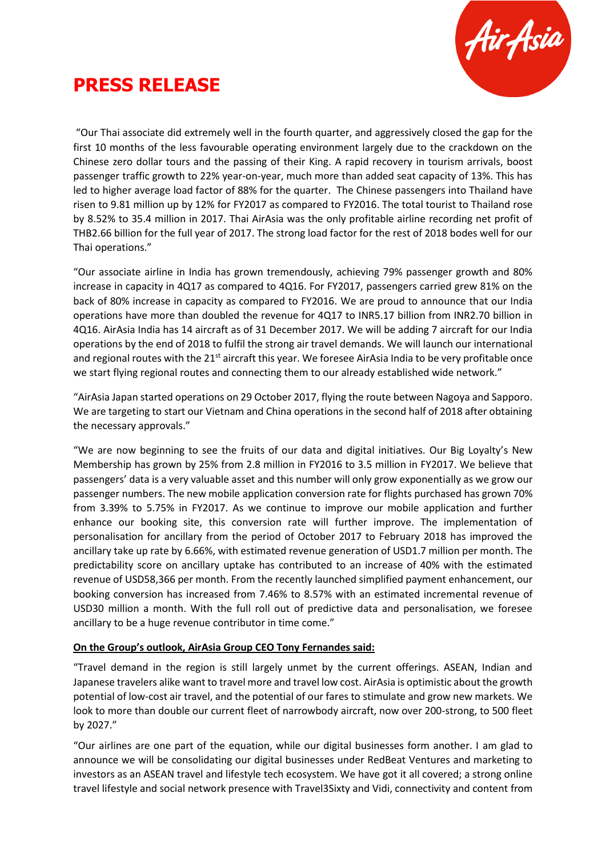

### **PRESS RELEASE**

"Our Thai associate did extremely well in the fourth quarter, and aggressively closed the gap for the first 10 months of the less favourable operating environment largely due to the crackdown on the Chinese zero dollar tours and the passing of their King. A rapid recovery in tourism arrivals, boost passenger traffic growth to 22% year-on-year, much more than added seat capacity of 13%. This has led to higher average load factor of 88% for the quarter. The Chinese passengers into Thailand have risen to 9.81 million up by 12% for FY2017 as compared to FY2016. The total tourist to Thailand rose by 8.52% to 35.4 million in 2017. Thai AirAsia was the only profitable airline recording net profit of THB2.66 billion for the full year of 2017. The strong load factor for the rest of 2018 bodes well for our Thai operations."

"Our associate airline in India has grown tremendously, achieving 79% passenger growth and 80% increase in capacity in 4Q17 as compared to 4Q16. For FY2017, passengers carried grew 81% on the back of 80% increase in capacity as compared to FY2016. We are proud to announce that our India operations have more than doubled the revenue for 4Q17 to INR5.17 billion from INR2.70 billion in 4Q16. AirAsia India has 14 aircraft as of 31 December 2017. We will be adding 7 aircraft for our India operations by the end of 2018 to fulfil the strong air travel demands. We will launch our international and regional routes with the  $21<sup>st</sup>$  aircraft this year. We foresee AirAsia India to be very profitable once we start flying regional routes and connecting them to our already established wide network."

"AirAsia Japan started operations on 29 October 2017, flying the route between Nagoya and Sapporo. We are targeting to start our Vietnam and China operations in the second half of 2018 after obtaining the necessary approvals."

"We are now beginning to see the fruits of our data and digital initiatives. Our Big Loyalty's New Membership has grown by 25% from 2.8 million in FY2016 to 3.5 million in FY2017. We believe that passengers' data is a very valuable asset and this number will only grow exponentially as we grow our passenger numbers. The new mobile application conversion rate for flights purchased has grown 70% from 3.39% to 5.75% in FY2017. As we continue to improve our mobile application and further enhance our booking site, this conversion rate will further improve. The implementation of personalisation for ancillary from the period of October 2017 to February 2018 has improved the ancillary take up rate by 6.66%, with estimated revenue generation of USD1.7 million per month. The predictability score on ancillary uptake has contributed to an increase of 40% with the estimated revenue of USD58,366 per month. From the recently launched simplified payment enhancement, our booking conversion has increased from 7.46% to 8.57% with an estimated incremental revenue of USD30 million a month. With the full roll out of predictive data and personalisation, we foresee ancillary to be a huge revenue contributor in time come."

#### **On the Group's outlook, AirAsia Group CEO Tony Fernandes said:**

"Travel demand in the region is still largely unmet by the current offerings. ASEAN, Indian and Japanese travelers alike want to travel more and travel low cost. AirAsia is optimistic about the growth potential of low-cost air travel, and the potential of our fares to stimulate and grow new markets. We look to more than double our current fleet of narrowbody aircraft, now over 200-strong, to 500 fleet by 2027."

"Our airlines are one part of the equation, while our digital businesses form another. I am glad to announce we will be consolidating our digital businesses under RedBeat Ventures and marketing to investors as an ASEAN travel and lifestyle tech ecosystem. We have got it all covered; a strong online travel lifestyle and social network presence with Travel3Sixty and Vidi, connectivity and content from